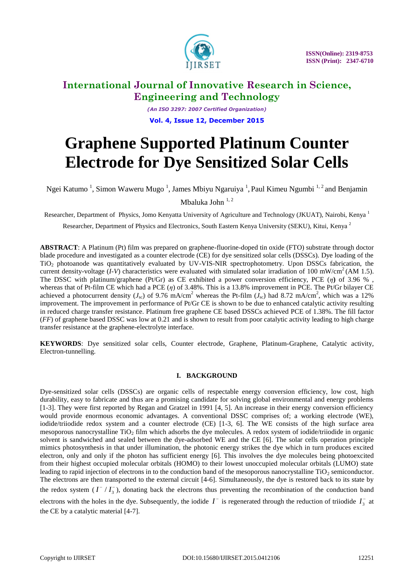

*(An ISO 3297: 2007 Certified Organization)* **Vol. 4, Issue 12, December 2015**

# **Graphene Supported Platinum Counter Electrode for Dye Sensitized Solar Cells**

Ngei Katumo<sup>1</sup>, Simon Waweru Mugo<sup>1</sup>, James Mbiyu Ngaruiya<sup>1</sup>, Paul Kimeu Ngumbi<sup>1,2</sup> and Benjamin

Mbaluka John  $1, 2$ 

Researcher, Department of Physics, Jomo Kenyatta University of Agriculture and Technology (JKUAT), Nairobi, Kenya 1

Researcher, Department of Physics and Electronics, South Eastern Kenya University (SEKU), Kitui, Kenya <sup>2</sup>

**ABSTRACT**: A Platinum (Pt) film was prepared on graphene-fluorine-doped tin oxide (FTO) substrate through doctor blade procedure and investigated as a counter electrode (CE) for dye sensitized solar cells (DSSCs). Dye loading of the TiO<sup>2</sup> photoanode was quantitatively evaluated by UV-VIS-NIR spectrophotometry. Upon DSSCs fabrication, the current density-voltage  $(I-V)$  characteristics were evaluated with simulated solar irradiation of 100 mW/cm<sup>2</sup> (AM 1.5). The DSSC with platinum/graphene (Pt/Gr) as CE exhibited a power conversion efficiency, PCE (*η***)** of 3.96 % , whereas that of Pt-film CE which had a PCE (*η*) of 3.48%. This is a 13.8% improvement in PCE. The Pt/Gr bilayer CE achieved a photocurrent density ( $J_{\rm sc}$ ) of 9.76 mA/cm<sup>2</sup> whereas the Pt-film ( $J_{\rm sc}$ ) had 8.72 mA/cm<sup>2</sup>, which was a 12% improvement. The improvement in performance of Pt/Gr CE is shown to be due to enhanced catalytic activity resulting in reduced charge transfer resistance. Platinum free graphene CE based DSSCs achieved PCE of 1.38%. The fill factor (*FF*) of graphene based DSSC was low at 0.21 and is shown to result from poor catalytic activity leading to high charge transfer resistance at the graphene-electrolyte interface.

**KEYWORDS**: Dye sensitized solar cells, Counter electrode, Graphene, Platinum-Graphene, Catalytic activity, Electron-tunnelling.

### **I. BACKGROUND**

Dye-sensitized solar cells (DSSCs) are organic cells of respectable energy conversion efficiency, low cost, high durability, easy to fabricate and thus are a promising candidate for solving global environmental and energy problems [1-3]. They were first reported by Regan and Gratzel in 1991 [4, 5]. An increase in their energy conversion efficiency would provide enormous economic advantages. A conventional DSSC comprises of; a working electrode (WE), iodide/triiodide redox system and a counter electrode (CE) [1-3, 6]. The WE consists of the high surface area mesoporous nanocrystalline TiO<sub>2</sub> film which adsorbs the dye molecules. A redox system of iodide/triiodide in organic solvent is sandwiched and sealed between the dye-adsorbed WE and the CE [6]. The solar cells operation principle mimics photosynthesis in that under illumination, the photonic energy strikes the dye which in turn produces excited electron, only and only if the photon has sufficient energy [6]. This involves the dye molecules being photoexcited from their highest occupied molecular orbitals (HOMO) to their lowest unoccupied molecular orbitals (LUMO) state leading to rapid injection of electrons in to the conduction band of the mesoporous nanocrystalline  $TiO<sub>2</sub>$  semiconductor. The electrons are then transported to the external circuit [4-6]. Simultaneously, the dye is restored back to its state by the redox system  $(I^{-}/I_{3}^{-})$ , donating back the electrons thus preventing the recombination of the conduction band electrons with the holes in the dye. Subsequently, the iodide  $I^-$  is regenerated through the reduction of triiodide  $I_3^-$  at the CE by a catalytic material [4-7].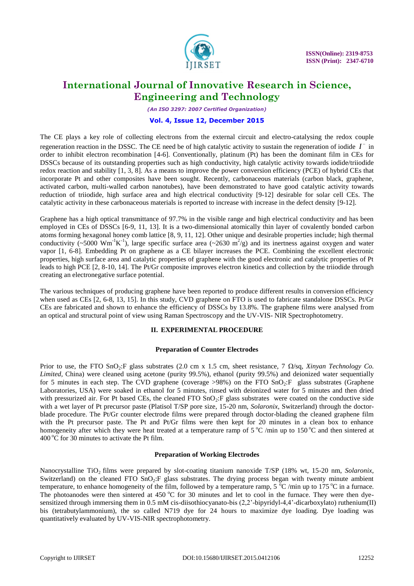

*(An ISO 3297: 2007 Certified Organization)*

#### **Vol. 4, Issue 12, December 2015**

The CE plays a key role of collecting electrons from the external circuit and electro-catalysing the redox couple regeneration reaction in the DSSC. The CE need be of high catalytic activity to sustain the regeneration of iodide  $I^-$  in order to inhibit electron recombination [4-6]. Conventionally, platinum (Pt) has been the dominant film in CEs for DSSCs because of its outstanding properties such as high conductivity, high catalytic activity towards iodide/triiodide redox reaction and stability [1, 3, 8]. As a means to improve the power conversion efficiency (PCE) of hybrid CEs that incorporate Pt and other composites have been sought. Recently, carbonaceous materials (carbon black, graphene, activated carbon, multi-walled carbon nanotubes), have been demonstrated to have good catalytic activity towards reduction of triiodide, high surface area and high electrical conductivity [9-12] desirable for solar cell CEs. The catalytic activity in these carbonaceous materials is reported to increase with increase in the defect density [9-12].

Graphene has a high optical transmittance of 97.7% in the visible range and high electrical conductivity and has been employed in CEs of DSSCs [6-9, 11, 13]. It is a two-dimensional atomically thin layer of covalently bonded carbon atoms forming hexagonal honey comb lattice [8, 9, 11, 12]. Other unique and desirable properties include; high thermal conductivity  $(\sim 5000 \text{ Wm}^{-1}\text{K}^{-1})$ , large specific surface area  $(\sim 2630 \text{ m}^2/\text{g})$  and its inertness against oxygen and water vapor [1, 6-8]. Embedding Pt on graphene as a CE bilayer increases the PCE. Combining the excellent electronic properties, high surface area and catalytic properties of graphene with the good electronic and catalytic properties of Pt leads to high PCE [2, 8-10, 14]. The Pt/Gr composite improves electron kinetics and collection by the triiodide through creating an electronegative surface potential.

The various techniques of producing graphene have been reported to produce different results in conversion efficiency when used as CEs [2, 6-8, 13, 15]. In this study, CVD graphene on FTO is used to fabricate standalone DSSCs. Pt/Gr CEs are fabricated and shown to enhance the efficiency of DSSCs by 13.8%. The graphene films were analysed from an optical and structural point of view using Raman Spectroscopy and the UV-VIS- NIR Spectrophotometry.

### **II. EXPERIMENTAL PROCEDURE**

### **Preparation of Counter Electrodes**

Prior to use, the FTO SnO<sub>2</sub>:F glass substrates (2.0 cm x 1.5 cm, sheet resistance, 7  $\Omega$ /sq, *Xinyan Technology Co. Limited,* China) were cleaned using acetone (purity 99.5%), ethanol (purity 99.5%) and deionized water sequentially for 5 minutes in each step. The CVD graphene (coverage  $>98\%$ ) on the FTO SnO<sub>2</sub>:F glass substrates (Graphene Laboratories, USA) were soaked in ethanol for 5 minutes, rinsed with deionized water for 5 minutes and then dried with pressurized air. For Pt based CEs, the cleaned FTO  $SnO<sub>2</sub>:F$  glass substrates were coated on the conductive side with a wet layer of Pt precursor paste (Platisol T/SP pore size, 15-20 nm, *Solaronix*, Switzerland) through the doctorblade procedure. The Pt/Gr counter electrode films were prepared through doctor-blading the cleaned graphene film with the Pt precursor paste. The Pt and Pt/Gr films were then kept for 20 minutes in a clean box to enhance homogeneity after which they were heat treated at a temperature ramp of  $5^{\circ}$ C /min up to  $150^{\circ}$ C and then sintered at  $400\degree$ C for 30 minutes to activate the Pt film.

### **Preparation of Working Electrodes**

Nanocrystalline TiO<sub>2</sub> films were prepared by slot-coating titanium nanoxide T/SP (18% wt, 15-20 nm, *Solaronix*, Switzerland) on the cleaned FTO  $SnO<sub>2</sub>:F$  glass substrates. The drying process began with twenty minute ambient temperature, to enhance homogeneity of the film, followed by a temperature ramp,  $5\degree$ C/min up to 175 °C in a furnace. The photoanodes were then sintered at 450  $^{\circ}$ C for 30 minutes and let to cool in the furnace. They were then dyesensitized through immersing them in 0.5 mM cis-diisothiocyanato-bis (2,2'-bipyridyl-4,4'-dicarboxylato) ruthenium(II) bis (tetrabutylammonium), the so called N719 dye for 24 hours to maximize dye loading. Dye loading was quantitatively evaluated by UV-VIS-NIR spectrophotometry.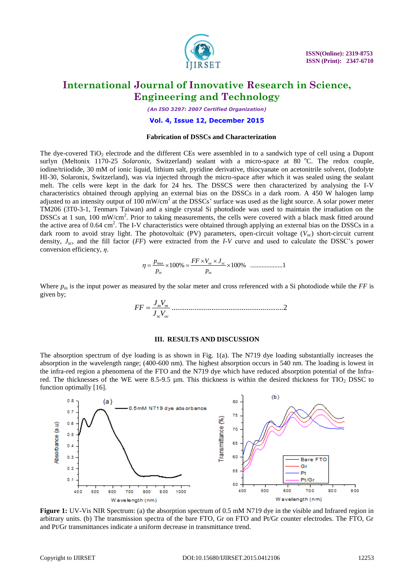

*(An ISO 3297: 2007 Certified Organization)*

#### **Vol. 4, Issue 12, December 2015**

#### **Fabrication of DSSCs and Characterization**

The dye-covered  $TiO<sub>2</sub>$  electrode and the different CEs were assembled in to a sandwich type of cell using a Dupont surlyn (Meltonix 1170-25 *Solaronix*, Switzerland) sealant with a micro-space at 80 °C. The redox couple, iodine/triiodide, 30 mM of ionic liquid, lithium salt, pyridine derivative, thiocyanate on acetonitrile solvent, (Iodolyte HI-30, Solaronix, Switzerland), was via injected through the micro-space after which it was sealed using the sealant melt. The cells were kept in the dark for 24 hrs. The DSSCS were then characterized by analysing the I-V characteristics obtained through applying an external bias on the DSSCs in a dark room. A 450 W halogen lamp adjusted to an intensity output of  $100 \text{ mW/cm}^2$  at the DSSCs' surface was used as the light source. A solar power meter TM206 (3T0-3-1, Tenmars Taiwan) and a single crystal Si photodiode was used to maintain the irradiation on the DSSCs at 1 sun, 100 mW/cm<sup>2</sup>. Prior to taking measurements, the cells were covered with a black mask fitted around the active area of 0.64 cm<sup>2</sup>. The I-V characteristics were obtained through applying an external bias on the DSSCs in a dark room to avoid stray light. The photovoltaic (PV) parameters, open-circuit voltage (*Voc*) short-circuit current density, *J<sub>sc</sub>*, and the fill factor (*FF*) were extracted from the *I-V* curve and used to calculate the DSSC's power conversion efficiency,  $\eta$ .<br>  $\eta = \frac{p_{\text{max}}}{\sqrt{100\%}} \times 100\% \frac{FF \times V_{oc} \times J_{sc}}{100\%} \times 100\% \frac{FF \times$ conversion efficiency, *η*.

max 100% 100% ....................1 *oc sc in in p p* 

Where *pin* is the input power as measured by the solar meter and cross referenced with a Si photodiode while the *FF* is *J V FF* given by;

$$
FF = \frac{J_m V_m}{J_{sc} V_{oc}}
$$
.................2

#### **III. RESULTS AND DISCUSSION**

The absorption spectrum of dye loading is as shown in Fig. 1(a). The N719 dye loading substantially increases the absorption in the wavelength range; (400-600 nm). The highest absorption occurs in 540 nm. The loading is lowest in the infra-red region a phenomena of the FTO and the N719 dye which have reduced absorption potential of the Infrared. The thicknesses of the WE were 8.5-9.5 µm. This thickness is within the desired thickness for TIO<sub>2</sub> DSSC to function optimally [16].



**Figure 1:** UV-Vis NIR Spectrum: (a) the absorption spectrum of 0.5 mM N719 dye in the visible and Infrared region in arbitrary units. (b) The transmission spectra of the bare FTO, Gr on FTO and Pt/Gr counter electrodes. The FTO, Gr and Pt/Gr transmittances indicate a uniform decrease in transmittance trend.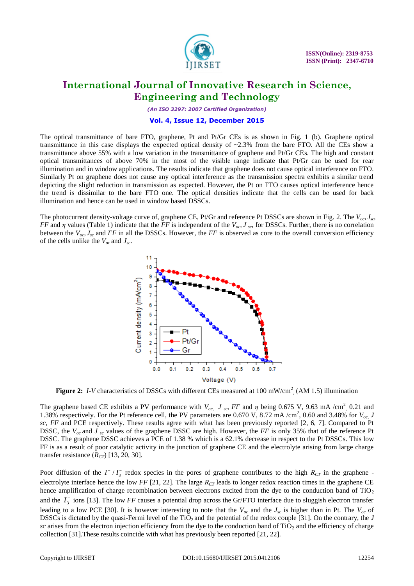

*(An ISO 3297: 2007 Certified Organization)*

#### **Vol. 4, Issue 12, December 2015**

The optical transmittance of bare FTO, graphene, Pt and Pt/Gr CEs is as shown in Fig. 1 (b). Graphene optical transmittance in this case displays the expected optical density of  $\sim$ 2.3% from the bare FTO. All the CEs show a transmittance above 55% with a low variation in the transmittance of graphene and Pt/Gr CEs. The high and constant optical transmittances of above 70% in the most of the visible range indicate that Pt/Gr can be used for rear illumination and in window applications. The results indicate that graphene does not cause optical interference on FTO. Similarly Pt on graphene does not cause any optical interference as the transmission spectra exhibits a similar trend depicting the slight reduction in transmission as expected. However, the Pt on FTO causes optical interference hence the trend is dissimilar to the bare FTO one. The optical densities indicate that the cells can be used for back illumination and hence can be used in window based DSSCs.

The photocurrent density-voltage curve of, graphene CE, Pt/Gr and reference Pt DSSCs are shown in Fig. 2. The  $V_{\alpha}$ ,  $J_{\alpha}$ *FF* and *η* values (Table 1) indicate that the *FF* is independent of the *Voc*, *J sc*, for DSSCs. Further, there is no correlation between the  $V_{oc}$ ,  $J_{sc}$  and *FF* in all the DSSCs. However, the *FF* is observed as core to the overall conversion efficiency of the cells unlike the  $V_{oc}$  and  $J_{sc}$ .



Figure 2: *I-V* characteristics of DSSCs with different CEs measured at 100 mW/cm<sup>2</sup> (AM 1.5) illumination

The graphene based CE exhibits a PV performance with  $V_{oc}$ ,  $J_{sc}$ ,  $FF$  and  $\eta$  being 0.675 V, 9.63 mA /cm<sup>2</sup>, 0.21 and 1.38% respectively. For the Pt reference cell, the PV parameters are 0.670 V, 8.72 mA /cm<sup>2</sup>, 0.60 and 3.48% for  $V_{oc}$ , J *sc, FF* and PCE respectively. These results agree with what has been previously reported [2, 6, 7]. Compared to Pt DSSC, the  $V_{\alpha c}$  and  $J_{\alpha c}$  values of the graphene DSSC are high. However, the *FF* is only 35% that of the reference Pt DSSC. The graphene DSSC achieves a PCE of 1.38 % which is a 62.1% decrease in respect to the Pt DSSCs. This low FF is as a result of poor catalytic activity in the junction of graphene CE and the electrolyte arising from large charge transfer resistance  $(R_{CT})$  [13, 20, 30].

Poor diffusion of the  $I^{-}/I_{3}^{-}$  redox species in the pores of graphene contributes to the high  $R_{CT}$  in the graphene electrolyte interface hence the low  $FF$  [21, 22]. The large  $R_{CT}$  leads to longer redox reaction times in the graphene CE hence amplification of charge recombination between electrons excited from the dye to the conduction band of TiO<sub>2</sub> and the  $I_3^-$  ions [13]. The low *FF* causes a potential drop across the Gr/FTO interface due to sluggish electron transfer leading to a low PCE [30]. It is however interesting to note that the *Voc* and the *Jsc* is higher than in Pt. The *Voc* of DSSCs is dictated by the quasi-Fermi level of the TiO<sub>2</sub> and the potential of the redox couple [31]. On the contrary, the *J*  $sc$  arises from the electron injection efficiency from the dye to the conduction band of  $TiO<sub>2</sub>$  and the efficiency of charge collection [31].These results coincide with what has previously been reported [21, 22].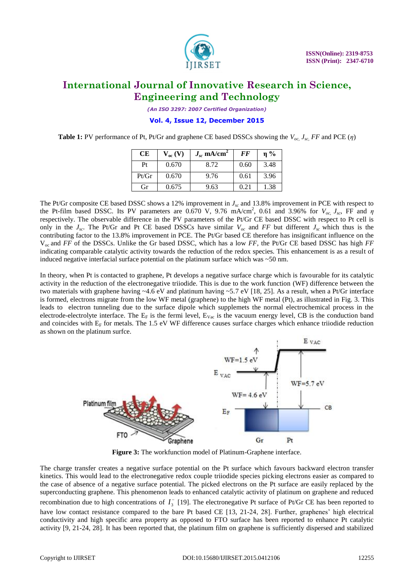

*(An ISO 3297: 2007 Certified Organization)*

**Vol. 4, Issue 12, December 2015**

**Table 1:** PV performance of Pt, Pt/Gr and graphene CE based DSSCs showing the *Voc, Jsc, FF* and PCE (*η*)

| CE    | $V_{oc}$ (V) | $J_{sc}$ mA/cm <sup>2</sup> | <b>FF</b> | $\eta$ % |
|-------|--------------|-----------------------------|-----------|----------|
| Pt    | 0.670        | 8.72                        | 0.60      | 3.48     |
| Pt/Gr | 0.670        | 9.76                        | 0.61      | 3.96     |
| Gr    | 0.675        | 9.63                        | 0.21      | 1.38     |

The Pt/Gr composite CE based DSSC shows a 12% improvement in  $J_{sc}$  and 13.8% improvement in PCE with respect to the Pt-film based DSSC. Its PV parameters are 0.670 V, 9.76 mA/cm<sup>2</sup>, 0.61 and 3.96% for  $V_{oc}$ ,  $J_{sc}$ , FF and  $\eta$ respectively. The observable difference in the PV parameters of the Pt/Gr CE based DSSC with respect to Pt cell is only in the  $J_{sc}$ . The Pt/Gr and Pt CE based DSSCs have similar  $V_{oc}$  and FF but different  $J_{sc}$  which thus is the contributing factor to the 13.8% improvement in PCE. The Pt/Gr based CE therefore has insignificant influence on the Voc and *FF* of the DSSCs. Unlike the Gr based DSSC, which has a low *FF*, the Pt/Gr CE based DSSC has high *FF* indicating comparable catalytic activity towards the reduction of the redox species. This enhancement is as a result of induced negative interfacial surface potential on the platinum surface which was  $\sim$  50 nm.

In theory, when Pt is contacted to graphene, Pt develops a negative surface charge which is favourable for its catalytic activity in the reduction of the electronegative triiodide. This is due to the work function (WF) difference between the two materials with graphene having  $\sim 4.6$  eV and platinum having  $\sim 5.7$  eV [18, 25]. As a result, when a Pt/Gr interface is formed, electrons migrate from the low WF metal (graphene) to the high WF metal (Pt), as illustrated in Fig. 3. This leads to electron tunneling due to the surface dipole which supplemets the normal electrochemical process in the electrode-electrolyte interface. The  $E_F$  is the fermi level,  $E_{\text{Vac}}$  is the vacuum energy level, CB is the conduction band and coincides with  $E_F$  for metals. The 1.5 eV WF difference causes surface charges which enhance triiodide reduction as shown on the platinum surfce.



**Figure 3:** The workfunction model of Platinum-Graphene interface.

The charge transfer creates a negative surface potential on the Pt surface which favours backward electron transfer kinetics. This would lead to the electronegative redox couple triiodide species picking electrons easier as compared to the case of absence of a negative surface potential. The picked electrons on the Pt surface are easily replaced by the superconducting graphene. This phenomenon leads to enhanced catalytic activity of platinum on graphene and reduced recombination due to high concentrations of  $I_3^-$  [19]. The electronegative Pt surface of Pt/Gr CE has been reported to have low contact resistance compared to the bare Pt based CE [13, 21-24, 28]. Further, graphenes' high electrical conductivity and high specific area property as opposed to FTO surface has been reported to enhance Pt catalytic activity [9, 21-24, 28]. It has been reported that, the platinum film on graphene is sufficiently dispersed and stabilized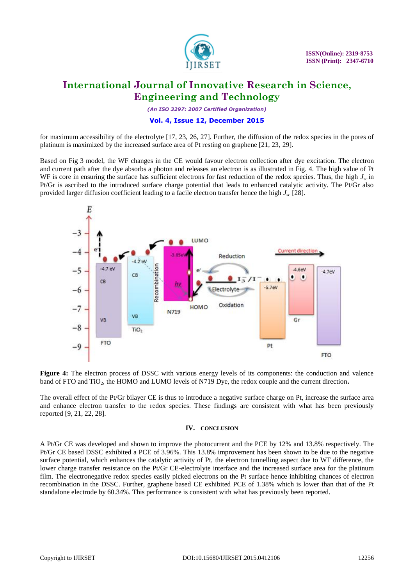

*(An ISO 3297: 2007 Certified Organization)*

### **Vol. 4, Issue 12, December 2015**

for maximum accessibility of the electrolyte [17, 23, 26, 27]. Further, the diffusion of the redox species in the pores of platinum is maximized by the increased surface area of Pt resting on graphene [21, 23, 29].

Based on Fig 3 model, the WF changes in the CE would favour electron collection after dye excitation. The electron and current path after the dye absorbs a photon and releases an electron is as illustrated in Fig. 4. The high value of Pt WF is core in ensuring the surface has sufficient electrons for fast reduction of the redox species. Thus, the high  $J_{\rm sc}$  in Pt/Gr is ascribed to the introduced surface charge potential that leads to enhanced catalytic activity. The Pt/Gr also provided larger diffusion coefficient leading to a facile electron transfer hence the high *Jsc* [28].



**Figure 4:** The electron process of DSSC with various energy levels of its components: the conduction and valence band of FTO and TiO<sub>2</sub>, the HOMO and LUMO levels of N719 Dye, the redox couple and the current direction.

The overall effect of the Pt/Gr bilayer CE is thus to introduce a negative surface charge on Pt, increase the surface area and enhance electron transfer to the redox species. These findings are consistent with what has been previously reported [9, 21, 22, 28].

#### **IV. CONCLUSION**

A Pt/Gr CE was developed and shown to improve the photocurrent and the PCE by 12% and 13.8% respectively. The Pt/Gr CE based DSSC exhibited a PCE of 3.96%. This 13.8% improvement has been shown to be due to the negative surface potential, which enhances the catalytic activity of Pt, the electron tunnelling aspect due to WF difference, the lower charge transfer resistance on the Pt/Gr CE-electrolyte interface and the increased surface area for the platinum film. The electronegative redox species easily picked electrons on the Pt surface hence inhibiting chances of electron recombination in the DSSC. Further, graphene based CE exhibited PCE of 1.38% which is lower than that of the Pt standalone electrode by 60.34%. This performance is consistent with what has previously been reported.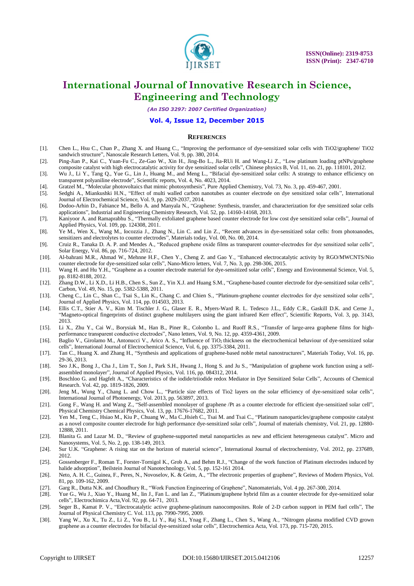

*(An ISO 3297: 2007 Certified Organization)*

#### **Vol. 4, Issue 12, December 2015**

#### **REFERENCES**

- [1]. Chen L., Hsu C., Chan P., Zhang X. and Huang C., "Improving the performance of dye-sensitized solar cells with TiO2/graphene/ TiO2 sandwich structure", Nanoscale Research Letters, Vol. 9, pp. 380, 2014.
- [2]. Ping-Jian P., Kai C., Yuan-Fu C., Ze-Gao W., Xin H., Jing-Bo L., Jia-RUi H. and Wang-Li Z., "Low platinum loading ptNPs/graphene composite catalyst with high electrocatalytic activity for dye sensitized solar cells", Chinese physics B, Vol. 11, no. 21, pp. 118101, 2012.
- [3]. Wu J., Li Y., Tang Q., Yue G., Lin J., Huang M., and Meng L., "Bifacial dye-sensitized solar cells: A strategy to enhance efficiency on transparent polyaniline electrode", Scientific reports, Vol. 4, No. 4023, 2014.
- [4]. Gratzel M., "Molecular photovoltaics that mimic photosynthesis", Pure Applied Chemistry, Vol. 73, No. 3, pp. 459-467, 2001.
- [5]. Sedghi A., Miankushki H.N., "Effect of multi walled carbon nanotubes as counter electrode on dye sensitized solar cells", International Journal of Electrochemical Science, Vol. 9, pp. 2029-2037, 2014.
- [6]. Dodoo-Arhin D., Fabiance M., Bello A. and Manyala N., "Graphene: Synthesis, transfer, and characterization for dye sensitized solar cells applications", Industrial and Engineering Chemistry Research, Vol. 52, pp. 14160-14168, 2013.
- [7]. Kaniyoor A. and Ramaprabhu S., "Thermally exfoliated graphene based counter electrode for low cost dye sensitized solar cells", Journal of Applied Physics, Vol. 109, pp. 124308, 2011.
- [8]. Ye M., Wen X., Wang M., Iocozzia J., Zhang N., Lin C. and Lin Z., "Recent advances in dye-sensitized solar cells: from photoanodes, sensitizers and electrolytes to counter electrodes", Materials today, Vol. 00, No. 00, 2014.
- [9]. Cruiz R., Tanaka D. A. P. and Mendes A., "Reduced graphene oxide films as transparent counter-electrodes for dye sensitized solar cells", Solar Energy, Vol. 86, pp. 716-724, 2012.
- [10]. Al-bahrani M.R., Ahmad W., Mehnne H.F., Chen Y., Cheng Z. and Gao Y., "Enhanced electrocatalytic activity by RGO/MWCNTS/Nio counter electrode for dye-sensitized solar cells", Nano-Micro letters, Vol. 7, No. 3, pp. 298-306, 2015.
- [11]. Wang H. and Hu Y.H., "Graphene as a counter electrode material for dye-sensitized solar cells", Energy and Environmental Science, Vol. 5, pp. 8182-8188, 2012.
- [12]. Zhang D.W., Li X.D., Li H.B., Chen S., Sun Z., Yin X.J. and Huang S.M., "Graphene-based counter electrode for dye-sensitized solar cells", Carbon, Vol. 49, No. 15, pp. 5382-5388, 2011.
- [13]. Cheng C., Lin C., Shan C., Tsai S., Lin K., Chang C. and Chien S., "Platinum-graphene counter electrodes for dye sensitized solar cells", Journal of Applied Physics, Vol. 114, pp. 014503, 2013.
- [14]. Ellis C.T., Stier A. V., Kim M. Tischler J. G., Glaser E. R., Myers-Ward R. L. Tedesco J.L., Eddy C.R., Gaskill D.K. and Cerne J., "Magneto-optical fingerprints of distinct graphene multilayers using the giant infrared Kerr effect", Scientific Reports, Vol. 3, pp. 3143, 2013.
- [15]. Li X., Zhu Y., Cai W., Borysiak M., Han B., Piner R., Colombo L. and Ruoff R.S., "Transfer of large-area graphene films for highperformance transparent conductive electrodes", Nano letters, Vol. 9, No. 12, pp. 4359-4361, 2009.
- [16]. Baglio V., Girolamo M., Antonucci V., Arico A. S., "Influence of TiO<sub>2</sub> thickness on the electrochemical behaviour of dye-sensitized solar cells", International Journal of Electrochemical Science, Vol. 6, pp. 3375-3384, 2011.
- [17]. Tan C., Huang X. and Zhang H., "Synthesis and applications of graphene-based noble metal nanostructures", Materials Today, Vol. 16, pp. 29-36, 2013.
- [18]. Seo J.K., Bong J., Cha J., Lim T., Son J., Park S.H., Hwang J., Hong S. and Ju S., "Manipulation of graphene work function using a selfassembled monolayer", Journal of Applied Physics, Vol. 116, pp. 084312, 2014.
- [19]. Boschloo G. and Hagfelt A., "Characteristics of the iodide/triiodide redox Mediator in Dye Sensitized Solar Cells", Accounts of Chemical Research. Vol. 42, pp. 1819-1826, 2009.
- [20]. Jeng M., Wung Y., Chang L. and Chow L., "Particle size effects of Tio2 layers on the solar efficiency of dye-sensitized solar cells", International Journal of Photoenergy, Vol. 2013, pp. 563897, 2013.
- [21]. Gong F., Wang H. and Wang Z., "Self-assembled monolayer of graphene /Pt as a counter electrode for efficient dye-sensitized solar cell", Physical Chemistry Chemical Physics, Vol. 13, pp. 17676-17682, 2011.
- [22]. Yen M., Teng C., Hsiao M., Kiu P., Chuang W., Ma C.,Hsieh C., Tsai M. and Tsai C., "Platinum nanoparticles/graphene composite catalyst as a novel composite counter electrode for high performance dye-sensitized solar cells", Journal of materials chemistry, Vol. 21, pp. 12880- 12888, 2011.
- [23]. Blanita G. and Lazar M. D., "Review of graphene-supported metal nanoparticles as new and efficient heterogeneous catalyst". Micro and Nanosystems, Vol. 5, No. 2, pp. 138-149, 2013.
- [24]. Sur U.K. "Graphene: A rising star on the horizon of material science", International Journal of electrochemistry, Vol. 2012, pp. 237689, 2012.
- [25]. Gossenberger F., Roman T., Forster-Tornigol K., Grob A., and Behm R.J., "Change of the work function of Platinum electrodes induced by halide adsorption", Beilstein Journal of Nanotechnology, Vol. 5, pp. 152-161 2014.
- [26]. Neto, A. H. C., Guinea, F., Peres, N., Novoselov, K. & Geim, A., "The electronic properties of graphene", Reviews of Modern Physics, Vol. 81, pp. 109-162, 2009.
- [27]. Garg R., Dutta N.K. and Choudhury R., "Work Function Engineering of Graphene", Nanomaterials, Vol. 4 pp. 267-300, 2014.
- [28]. Yue G., Wu J., Xiao Y., Huang M., lin J., Fan L. and lan Z., "Platinum/graphene hybrid film as a counter electrode for dye-sensitized solar cells", Electrochimica Acta,Vol. 92, pp. 64-71, 2013.
- [29]. Seger B., Kamat P. V., "Electrocatalytic active graphene-platinum nanocomposites. Role of 2-D carbon support in PEM fuel cells", The Journal of Physical Chemistry C. Vol. 113, pp. 7990-7995, 2009.
- [30]. Yang W., Xu X., Tu Z., Li Z., You B., Li Y., Raj S.I., Ynag F., Zhang L., Chen S., Wang A., "Nitrogen plasma modified CVD grown graphene as a counter electrodes for bifacial dye-sensitized solar cells", Electrochemica Acta, Vol. 173, pp. 715-720, 2015.